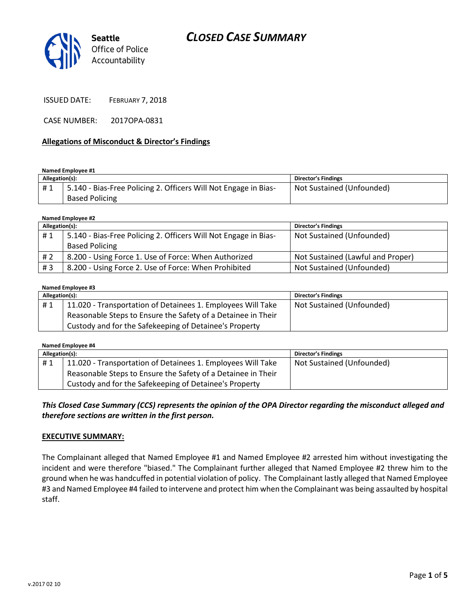# *CLOSED CASE SUMMARY*



ISSUED DATE: FEBRUARY 7, 2018

CASE NUMBER: 2017OPA-0831

#### **Allegations of Misconduct & Director's Findings**

#### **Named Employee #1**

| Allegation(s): |                                                                              | Director's Findings       |
|----------------|------------------------------------------------------------------------------|---------------------------|
| #1             | <sup>1</sup> 5.140 - Bias-Free Policing 2. Officers Will Not Engage in Bias- | Not Sustained (Unfounded) |
|                | <b>Based Policing</b>                                                        |                           |

| Named Employee #2 |                                                                 |                                   |  |  |
|-------------------|-----------------------------------------------------------------|-----------------------------------|--|--|
| Allegation(s):    |                                                                 | <b>Director's Findings</b>        |  |  |
| #1                | 5.140 - Bias-Free Policing 2. Officers Will Not Engage in Bias- | Not Sustained (Unfounded)         |  |  |
|                   | <b>Based Policing</b>                                           |                                   |  |  |
| # 2               | 8.200 - Using Force 1. Use of Force: When Authorized            | Not Sustained (Lawful and Proper) |  |  |
| #3                | 8.200 - Using Force 2. Use of Force: When Prohibited            | Not Sustained (Unfounded)         |  |  |

#### **Named Employee #3**

| Allegation(s): |                                                              | <b>Director's Findings</b> |
|----------------|--------------------------------------------------------------|----------------------------|
| #1             | 11.020 - Transportation of Detainees 1. Employees Will Take  | Not Sustained (Unfounded)  |
|                | Reasonable Steps to Ensure the Safety of a Detainee in Their |                            |
|                | Custody and for the Safekeeping of Detainee's Property       |                            |

| Named Employee #4 |                                                              |                           |  |  |  |
|-------------------|--------------------------------------------------------------|---------------------------|--|--|--|
| Allegation(s):    |                                                              | Director's Findings       |  |  |  |
| #1                | 11.020 - Transportation of Detainees 1. Employees Will Take  | Not Sustained (Unfounded) |  |  |  |
|                   | Reasonable Steps to Ensure the Safety of a Detainee in Their |                           |  |  |  |
|                   | Custody and for the Safekeeping of Detainee's Property       |                           |  |  |  |

*This Closed Case Summary (CCS) represents the opinion of the OPA Director regarding the misconduct alleged and therefore sections are written in the first person.* 

### **EXECUTIVE SUMMARY:**

The Complainant alleged that Named Employee #1 and Named Employee #2 arrested him without investigating the incident and were therefore "biased." The Complainant further alleged that Named Employee #2 threw him to the ground when he was handcuffed in potential violation of policy. The Complainant lastly alleged that Named Employee #3 and Named Employee #4 failed to intervene and protect him when the Complainant was being assaulted by hospital staff.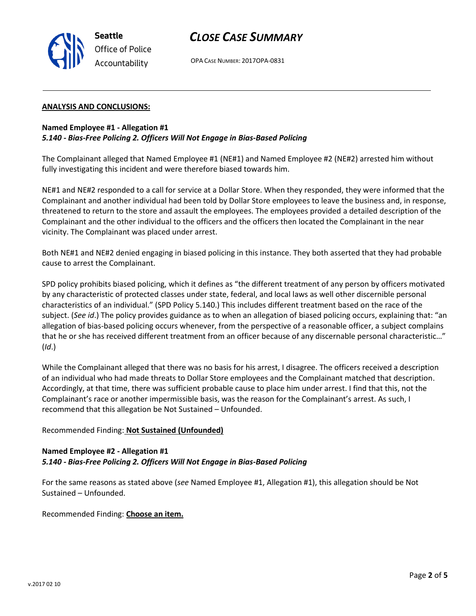

## *CLOSE CASE SUMMARY*

OPA CASE NUMBER: 2017OPA-0831

### **ANALYSIS AND CONCLUSIONS:**

### **Named Employee #1 - Allegation #1**

### *5.140 - Bias-Free Policing 2. Officers Will Not Engage in Bias-Based Policing*

The Complainant alleged that Named Employee #1 (NE#1) and Named Employee #2 (NE#2) arrested him without fully investigating this incident and were therefore biased towards him.

NE#1 and NE#2 responded to a call for service at a Dollar Store. When they responded, they were informed that the Complainant and another individual had been told by Dollar Store employees to leave the business and, in response, threatened to return to the store and assault the employees. The employees provided a detailed description of the Complainant and the other individual to the officers and the officers then located the Complainant in the near vicinity. The Complainant was placed under arrest.

Both NE#1 and NE#2 denied engaging in biased policing in this instance. They both asserted that they had probable cause to arrest the Complainant.

SPD policy prohibits biased policing, which it defines as "the different treatment of any person by officers motivated by any characteristic of protected classes under state, federal, and local laws as well other discernible personal characteristics of an individual." (SPD Policy 5.140.) This includes different treatment based on the race of the subject. (*See id*.) The policy provides guidance as to when an allegation of biased policing occurs, explaining that: "an allegation of bias-based policing occurs whenever, from the perspective of a reasonable officer, a subject complains that he or she has received different treatment from an officer because of any discernable personal characteristic…" (*Id*.)

While the Complainant alleged that there was no basis for his arrest, I disagree. The officers received a description of an individual who had made threats to Dollar Store employees and the Complainant matched that description. Accordingly, at that time, there was sufficient probable cause to place him under arrest. I find that this, not the Complainant's race or another impermissible basis, was the reason for the Complainant's arrest. As such, I recommend that this allegation be Not Sustained – Unfounded.

#### Recommended Finding: **Not Sustained (Unfounded)**

### **Named Employee #2 - Allegation #1** *5.140 - Bias-Free Policing 2. Officers Will Not Engage in Bias-Based Policing*

For the same reasons as stated above (*see* Named Employee #1, Allegation #1), this allegation should be Not Sustained – Unfounded.

Recommended Finding: **Choose an item.**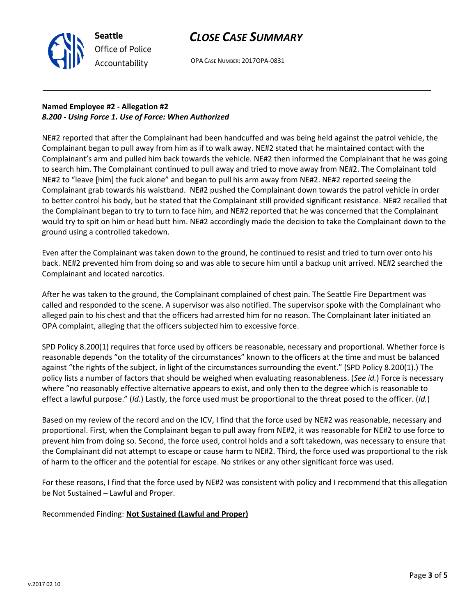# *CLOSE CASE SUMMARY*



OPA CASE NUMBER: 2017OPA-0831

## **Named Employee #2 - Allegation #2** *8.200 - Using Force 1. Use of Force: When Authorized*

NE#2 reported that after the Complainant had been handcuffed and was being held against the patrol vehicle, the Complainant began to pull away from him as if to walk away. NE#2 stated that he maintained contact with the Complainant's arm and pulled him back towards the vehicle. NE#2 then informed the Complainant that he was going to search him. The Complainant continued to pull away and tried to move away from NE#2. The Complainant told NE#2 to "leave [him] the fuck alone" and began to pull his arm away from NE#2. NE#2 reported seeing the Complainant grab towards his waistband. NE#2 pushed the Complainant down towards the patrol vehicle in order to better control his body, but he stated that the Complainant still provided significant resistance. NE#2 recalled that the Complainant began to try to turn to face him, and NE#2 reported that he was concerned that the Complainant would try to spit on him or head butt him. NE#2 accordingly made the decision to take the Complainant down to the ground using a controlled takedown.

Even after the Complainant was taken down to the ground, he continued to resist and tried to turn over onto his back. NE#2 prevented him from doing so and was able to secure him until a backup unit arrived. NE#2 searched the Complainant and located narcotics.

After he was taken to the ground, the Complainant complained of chest pain. The Seattle Fire Department was called and responded to the scene. A supervisor was also notified. The supervisor spoke with the Complainant who alleged pain to his chest and that the officers had arrested him for no reason. The Complainant later initiated an OPA complaint, alleging that the officers subjected him to excessive force.

SPD Policy 8.200(1) requires that force used by officers be reasonable, necessary and proportional. Whether force is reasonable depends "on the totality of the circumstances" known to the officers at the time and must be balanced against "the rights of the subject, in light of the circumstances surrounding the event." (SPD Policy 8.200(1).) The policy lists a number of factors that should be weighed when evaluating reasonableness. (*See id.*) Force is necessary where "no reasonably effective alternative appears to exist, and only then to the degree which is reasonable to effect a lawful purpose." (*Id.*) Lastly, the force used must be proportional to the threat posed to the officer. (*Id.*)

Based on my review of the record and on the ICV, I find that the force used by NE#2 was reasonable, necessary and proportional. First, when the Complainant began to pull away from NE#2, it was reasonable for NE#2 to use force to prevent him from doing so. Second, the force used, control holds and a soft takedown, was necessary to ensure that the Complainant did not attempt to escape or cause harm to NE#2. Third, the force used was proportional to the risk of harm to the officer and the potential for escape. No strikes or any other significant force was used.

For these reasons, I find that the force used by NE#2 was consistent with policy and I recommend that this allegation be Not Sustained – Lawful and Proper.

Recommended Finding: **Not Sustained (Lawful and Proper)**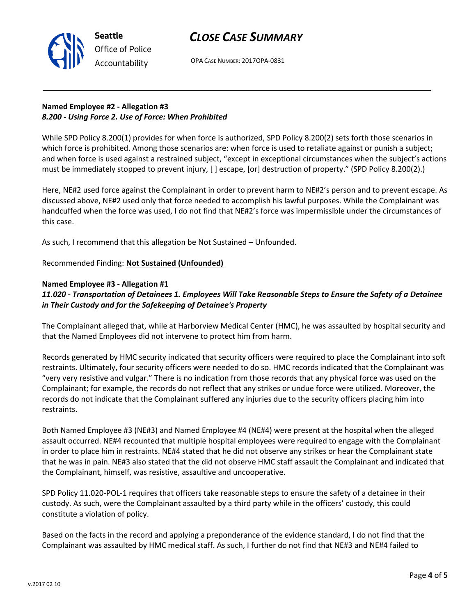# *CLOSE CASE SUMMARY*



OPA CASE NUMBER: 2017OPA-0831

## **Named Employee #2 - Allegation #3** *8.200 - Using Force 2. Use of Force: When Prohibited*

While SPD Policy 8.200(1) provides for when force is authorized, SPD Policy 8.200(2) sets forth those scenarios in which force is prohibited. Among those scenarios are: when force is used to retaliate against or punish a subject; and when force is used against a restrained subject, "except in exceptional circumstances when the subject's actions must be immediately stopped to prevent injury, [ ] escape, [or] destruction of property." (SPD Policy 8.200(2).)

Here, NE#2 used force against the Complainant in order to prevent harm to NE#2's person and to prevent escape. As discussed above, NE#2 used only that force needed to accomplish his lawful purposes. While the Complainant was handcuffed when the force was used, I do not find that NE#2's force was impermissible under the circumstances of this case.

As such, I recommend that this allegation be Not Sustained – Unfounded.

### Recommended Finding: **Not Sustained (Unfounded)**

### **Named Employee #3 - Allegation #1**

## *11.020 - Transportation of Detainees 1. Employees Will Take Reasonable Steps to Ensure the Safety of a Detainee in Their Custody and for the Safekeeping of Detainee's Property*

The Complainant alleged that, while at Harborview Medical Center (HMC), he was assaulted by hospital security and that the Named Employees did not intervene to protect him from harm.

Records generated by HMC security indicated that security officers were required to place the Complainant into soft restraints. Ultimately, four security officers were needed to do so. HMC records indicated that the Complainant was "very very resistive and vulgar." There is no indication from those records that any physical force was used on the Complainant; for example, the records do not reflect that any strikes or undue force were utilized. Moreover, the records do not indicate that the Complainant suffered any injuries due to the security officers placing him into restraints.

Both Named Employee #3 (NE#3) and Named Employee #4 (NE#4) were present at the hospital when the alleged assault occurred. NE#4 recounted that multiple hospital employees were required to engage with the Complainant in order to place him in restraints. NE#4 stated that he did not observe any strikes or hear the Complainant state that he was in pain. NE#3 also stated that the did not observe HMC staff assault the Complainant and indicated that the Complainant, himself, was resistive, assaultive and uncooperative.

SPD Policy 11.020-POL-1 requires that officers take reasonable steps to ensure the safety of a detainee in their custody. As such, were the Complainant assaulted by a third party while in the officers' custody, this could constitute a violation of policy.

Based on the facts in the record and applying a preponderance of the evidence standard, I do not find that the Complainant was assaulted by HMC medical staff. As such, I further do not find that NE#3 and NE#4 failed to